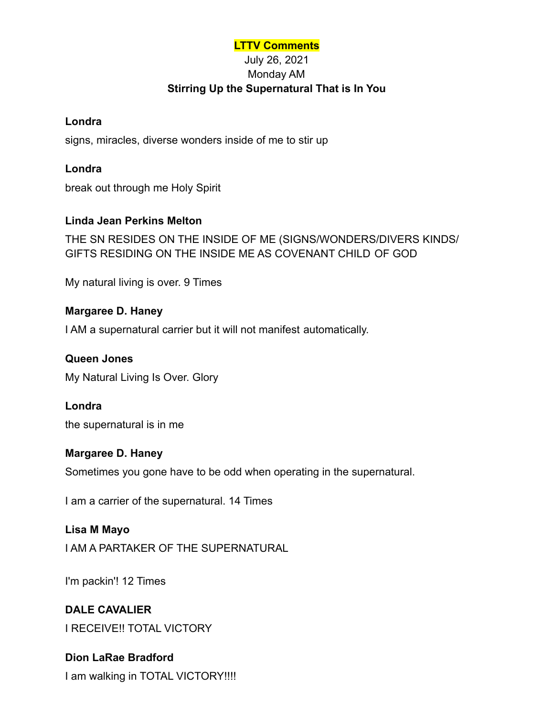#### **LTTV Comments**

## July 26, 2021 Monday AM **Stirring Up the Supernatural That is In You**

#### **Londra**

signs, miracles, diverse wonders inside of me to stir up

**Londra** break out through me Holy Spirit

## **Linda Jean Perkins Melton**

THE SN RESIDES ON THE INSIDE OF ME (SIGNS/WONDERS/DIVERS KINDS/ GIFTS RESIDING ON THE INSIDE ME AS COVENANT CHILD OF GOD

My natural living is over. 9 Times

#### **Margaree D. Haney**

I AM a supernatural carrier but it will not manifest automatically.

#### **Queen Jones**

My Natural Living Is Over. Glory

#### **Londra**

the supernatural is in me

#### **Margaree D. Haney**

Sometimes you gone have to be odd when operating in the supernatural.

I am a carrier of the supernatural. 14 Times

#### **Lisa M Mayo**

I AM A PARTAKER OF THE SUPERNATURAL

I'm packin'! 12 Times

## **DALE CAVALIER**

I RECEIVE!! TOTAL VICTORY

## **Dion LaRae Bradford**

I am walking in TOTAL VICTORY!!!!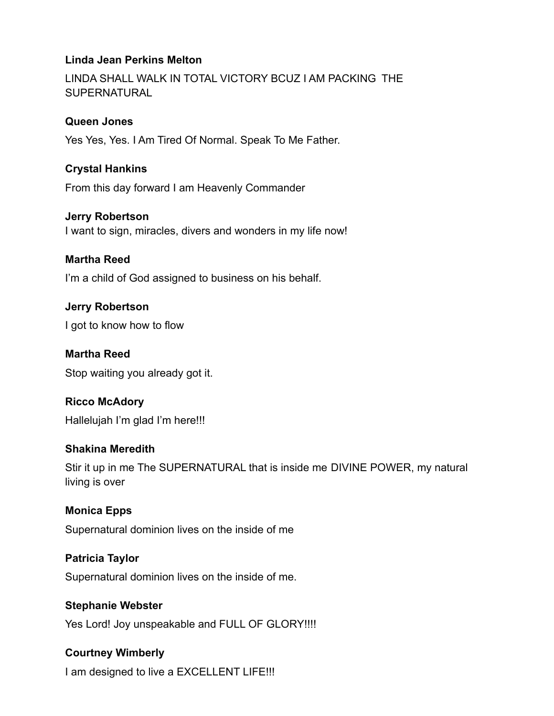## **Linda Jean Perkins Melton**

LINDA SHALL WALK IN TOTAL VICTORY BCUZ I AM PACKING THE SUPERNATURAL

#### **Queen Jones**

Yes Yes, Yes. I Am Tired Of Normal. Speak To Me Father.

## **Crystal Hankins**

From this day forward I am Heavenly Commander

#### **Jerry Robertson**

I want to sign, miracles, divers and wonders in my life now!

#### **Martha Reed**

I'm a child of God assigned to business on his behalf.

#### **Jerry Robertson**

I got to know how to flow

# **Martha Reed**

Stop waiting you already got it.

## **Ricco McAdory**

Hallelujah I'm glad I'm here!!!

#### **Shakina Meredith**

Stir it up in me The SUPERNATURAL that is inside me DIVINE POWER, my natural living is over

## **Monica Epps**

Supernatural dominion lives on the inside of me

## **Patricia Taylor**

Supernatural dominion lives on the inside of me.

#### **Stephanie Webster**

Yes Lord! Joy unspeakable and FULL OF GLORY!!!!

## **Courtney Wimberly**

I am designed to live a EXCELLENT LIFE!!!